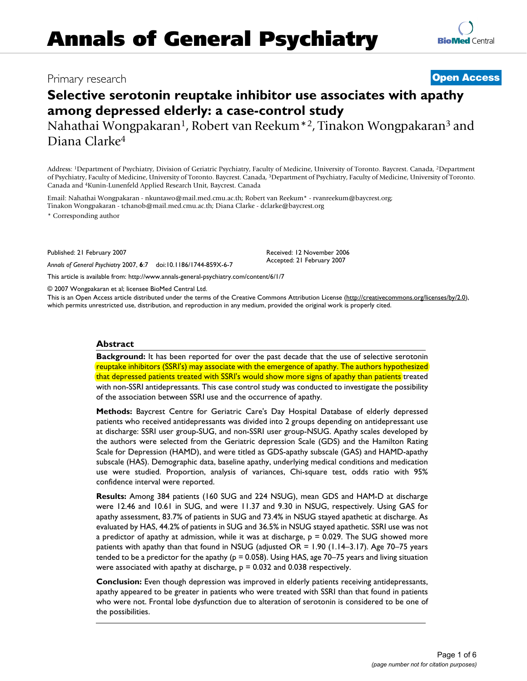# Primary research **[Open Access](http://www.biomedcentral.com/info/about/charter/)**

# **Selective serotonin reuptake inhibitor use associates with apathy among depressed elderly: a case-control study**

Nahathai Wongpakaran<sup>1</sup>, Robert van Reekum<sup>\*2</sup>, Tinakon Wongpakaran<sup>3</sup> and Diana Clarke4

Address: 1Department of Psychiatry, Division of Geriatric Psychiatry, Faculty of Medicine, University of Toronto. Baycrest. Canada, 2Department of Psychiatry, Faculty of Medicine, University of Toronto. Baycrest. Canada, 3Department of Psychiatry, Faculty of Medicine, University of Toronto. Canada and 4Kunin-Lunenfeld Applied Research Unit, Baycrest. Canada

Email: Nahathai Wongpakaran - nkuntawo@mail.med.cmu.ac.th; Robert van Reekum\* - rvanreekum@baycrest.org; Tinakon Wongpakaran - tchanob@mail.med.cmu.ac.th; Diana Clarke - dclarke@baycrest.org

\* Corresponding author

Published: 21 February 2007

*Annals of General Psychiatry* 2007, **6**:7 doi:10.1186/1744-859X-6-7

Received: 12 November 2006 Accepted: 21 February 2007

[This article is available from: http://www.annals-general-psychiatry.com/content/6/1/7](http://www.annals-general-psychiatry.com/content/6/1/7)

© 2007 Wongpakaran et al; licensee BioMed Central Ltd.

This is an Open Access article distributed under the terms of the Creative Commons Attribution License [\(http://creativecommons.org/licenses/by/2.0\)](http://creativecommons.org/licenses/by/2.0), which permits unrestricted use, distribution, and reproduction in any medium, provided the original work is properly cited.

#### **Abstract**

**Background:** It has been reported for over the past decade that the use of selective serotonin reuptake inhibitors (SSRI's) may associate with the emergence of apathy. The authors hypothesized that depressed patients treated with SSRI's would show more signs of apathy than patients treated with non-SSRI antidepressants. This case control study was conducted to investigate the possibility of the association between SSRI use and the occurrence of apathy.

**Methods:** Baycrest Centre for Geriatric Care's Day Hospital Database of elderly depressed patients who received antidepressants was divided into 2 groups depending on antidepressant use at discharge: SSRI user group-SUG, and non-SSRI user group-NSUG. Apathy scales developed by the authors were selected from the Geriatric depression Scale (GDS) and the Hamilton Rating Scale for Depression (HAMD), and were titled as GDS-apathy subscale (GAS) and HAMD-apathy subscale (HAS). Demographic data, baseline apathy, underlying medical conditions and medication use were studied. Proportion, analysis of variances, Chi-square test, odds ratio with 95% confidence interval were reported.

**Results:** Among 384 patients (160 SUG and 224 NSUG), mean GDS and HAM-D at discharge were 12.46 and 10.61 in SUG, and were 11.37 and 9.30 in NSUG, respectively. Using GAS for apathy assessment, 83.7% of patients in SUG and 73.4% in NSUG stayed apathetic at discharge. As evaluated by HAS, 44.2% of patients in SUG and 36.5% in NSUG stayed apathetic. SSRI use was not a predictor of apathy at admission, while it was at discharge,  $p = 0.029$ . The SUG showed more patients with apathy than that found in NSUG (adjusted OR = 1.90 (1.14–3.17). Age 70–75 years tended to be a predictor for the apathy ( $p = 0.058$ ). Using HAS, age 70–75 years and living situation were associated with apathy at discharge,  $p = 0.032$  and 0.038 respectively.

**Conclusion:** Even though depression was improved in elderly patients receiving antidepressants, apathy appeared to be greater in patients who were treated with SSRI than that found in patients who were not. Frontal lobe dysfunction due to alteration of serotonin is considered to be one of the possibilities.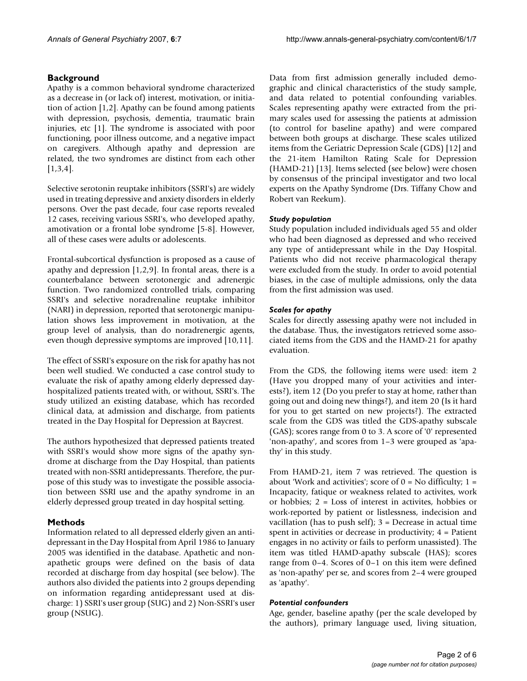# **Background**

Apathy is a common behavioral syndrome characterized as a decrease in (or lack of) interest, motivation, or initiation of action [1,2]. Apathy can be found among patients with depression, psychosis, dementia, traumatic brain injuries, etc [1]. The syndrome is associated with poor functioning, poor illness outcome, and a negative impact on caregivers. Although apathy and depression are related, the two syndromes are distinct from each other [1,3,4].

Selective serotonin reuptake inhibitors (SSRI's) are widely used in treating depressive and anxiety disorders in elderly persons. Over the past decade, four case reports revealed 12 cases, receiving various SSRI's, who developed apathy, amotivation or a frontal lobe syndrome [5-8]. However, all of these cases were adults or adolescents.

Frontal-subcortical dysfunction is proposed as a cause of apathy and depression [1,2,9]. In frontal areas, there is a counterbalance between serotonergic and adrenergic function. Two randomized controlled trials, comparing SSRI's and selective noradrenaline reuptake inhibitor (NARI) in depression, reported that serotonergic manipulation shows less improvement in motivation, at the group level of analysis, than do noradrenergic agents, even though depressive symptoms are improved [10,11].

The effect of SSRI's exposure on the risk for apathy has not been well studied. We conducted a case control study to evaluate the risk of apathy among elderly depressed dayhospitalized patients treated with, or without, SSRI's. The study utilized an existing database, which has recorded clinical data, at admission and discharge, from patients treated in the Day Hospital for Depression at Baycrest.

The authors hypothesized that depressed patients treated with SSRI's would show more signs of the apathy syndrome at discharge from the Day Hospital, than patients treated with non-SSRI antidepressants. Therefore, the purpose of this study was to investigate the possible association between SSRI use and the apathy syndrome in an elderly depressed group treated in day hospital setting.

# **Methods**

Information related to all depressed elderly given an antidepressant in the Day Hospital from April 1986 to January 2005 was identified in the database. Apathetic and nonapathetic groups were defined on the basis of data recorded at discharge from day hospital (see below). The authors also divided the patients into 2 groups depending on information regarding antidepressant used at discharge: 1) SSRI's user group (SUG) and 2) Non-SSRI's user group (NSUG).

Data from first admission generally included demographic and clinical characteristics of the study sample, and data related to potential confounding variables. Scales representing apathy were extracted from the primary scales used for assessing the patients at admission (to control for baseline apathy) and were compared between both groups at discharge. These scales utilized items from the Geriatric Depression Scale (GDS) [12] and the 21-item Hamilton Rating Scale for Depression (HAMD-21) [13]. Items selected (see below) were chosen by consensus of the principal investigator and two local experts on the Apathy Syndrome (Drs. Tiffany Chow and Robert van Reekum).

# *Study population*

Study population included individuals aged 55 and older who had been diagnosed as depressed and who received any type of antidepressant while in the Day Hospital. Patients who did not receive pharmacological therapy were excluded from the study. In order to avoid potential biases, in the case of multiple admissions, only the data from the first admission was used.

# *Scales for apathy*

Scales for directly assessing apathy were not included in the database. Thus, the investigators retrieved some associated items from the GDS and the HAMD-21 for apathy evaluation.

From the GDS, the following items were used: item 2 (Have you dropped many of your activities and interests?), item 12 (Do you prefer to stay at home, rather than going out and doing new things?), and item 20 (Is it hard for you to get started on new projects?). The extracted scale from the GDS was titled the GDS-apathy subscale (GAS); scores range from 0 to 3. A score of '0' represented 'non-apathy', and scores from 1–3 were grouped as 'apathy' in this study.

From HAMD-21, item 7 was retrieved. The question is about 'Work and activities'; score of  $0 = No$  difficulty;  $1 =$ Incapacity, fatique or weakness related to activites, work or hobbies; 2 = Loss of interest in activites, hobbies or work-reported by patient or listlessness, indecision and vacillation (has to push self);  $3 =$  Decrease in actual time spent in activities or decrease in productivity; 4 = Patient engages in no activity or fails to perform unassisted). The item was titled HAMD-apathy subscale (HAS); scores range from 0–4. Scores of 0–1 on this item were defined as 'non-apathy' per se, and scores from 2–4 were grouped as 'apathy'.

# *Potential confounders*

Age, gender, baseline apathy (per the scale developed by the authors), primary language used, living situation,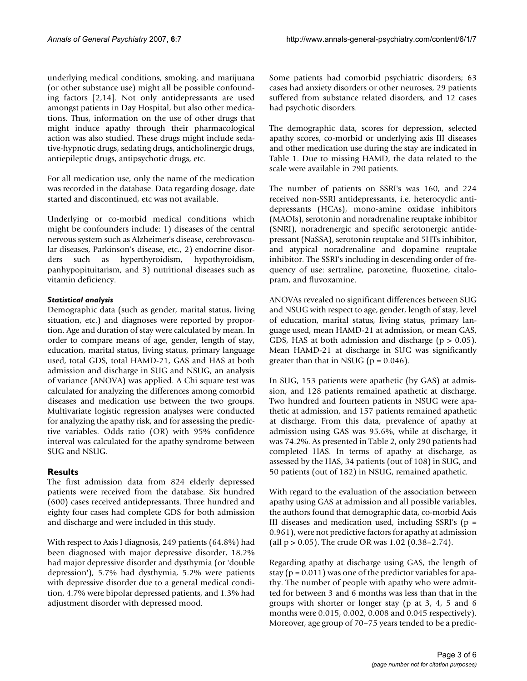underlying medical conditions, smoking, and marijuana (or other substance use) might all be possible confounding factors [2,14]. Not only antidepressants are used amongst patients in Day Hospital, but also other medications. Thus, information on the use of other drugs that might induce apathy through their pharmacological action was also studied. These drugs might include sedative-hypnotic drugs, sedating drugs, anticholinergic drugs, antiepileptic drugs, antipsychotic drugs, etc.

For all medication use, only the name of the medication was recorded in the database. Data regarding dosage, date started and discontinued, etc was not available.

Underlying or co-morbid medical conditions which might be confounders include: 1) diseases of the central nervous system such as Alzheimer's disease, cerebrovascular diseases, Parkinson's disease, etc., 2) endocrine disorders such as hyperthyroidism, hypothyroidism, panhypopituitarism, and 3) nutritional diseases such as vitamin deficiency.

# *Statistical analysis*

Demographic data (such as gender, marital status, living situation, etc.) and diagnoses were reported by proportion. Age and duration of stay were calculated by mean. In order to compare means of age, gender, length of stay, education, marital status, living status, primary language used, total GDS, total HAMD-21, GAS and HAS at both admission and discharge in SUG and NSUG, an analysis of variance (ANOVA) was applied. A Chi square test was calculated for analyzing the differences among comorbid diseases and medication use between the two groups. Multivariate logistic regression analyses were conducted for analyzing the apathy risk, and for assessing the predictive variables. Odds ratio (OR) with 95% confidence interval was calculated for the apathy syndrome between SUG and NSUG.

# **Results**

The first admission data from 824 elderly depressed patients were received from the database. Six hundred (600) cases received antidepressants. Three hundred and eighty four cases had complete GDS for both admission and discharge and were included in this study.

With respect to Axis I diagnosis, 249 patients (64.8%) had been diagnosed with major depressive disorder, 18.2% had major depressive disorder and dysthymia (or 'double depression'), 5.7% had dysthymia, 5.2% were patients with depressive disorder due to a general medical condition, 4.7% were bipolar depressed patients, and 1.3% had adjustment disorder with depressed mood.

Some patients had comorbid psychiatric disorders; 63 cases had anxiety disorders or other neuroses, 29 patients suffered from substance related disorders, and 12 cases had psychotic disorders.

The demographic data, scores for depression, selected apathy scores, co-morbid or underlying axis III diseases and other medication use during the stay are indicated in Table 1. Due to missing HAMD, the data related to the scale were available in 290 patients.

The number of patients on SSRI's was 160, and 224 received non-SSRI antidepressants, i.e. heterocyclic antidepressants (HCAs), mono-amine oxidase inhibitors (MAOIs), serotonin and noradrenaline reuptake inhibitor (SNRI), noradrenergic and specific serotonergic antidepressant (NaSSA), serotonin reuptake and 5HTs inhibitor, and atypical noradrenaline and dopamine reuptake inhibitor. The SSRI's including in descending order of frequency of use: sertraline, paroxetine, fluoxetine, citalopram, and fluvoxamine.

ANOVAs revealed no significant differences between SUG and NSUG with respect to age, gender, length of stay, level of education, marital status, living status, primary language used, mean HAMD-21 at admission, or mean GAS, GDS, HAS at both admission and discharge ( $p > 0.05$ ). Mean HAMD-21 at discharge in SUG was significantly greater than that in NSUG ( $p = 0.046$ ).

In SUG, 153 patients were apathetic (by GAS) at admission, and 128 patients remained apathetic at discharge. Two hundred and fourteen patients in NSUG were apathetic at admission, and 157 patients remained apathetic at discharge. From this data, prevalence of apathy at admission using GAS was 95.6%, while at discharge, it was 74.2%. As presented in Table 2, only 290 patients had completed HAS. In terms of apathy at discharge, as assessed by the HAS, 34 patients (out of 108) in SUG, and 50 patients (out of 182) in NSUG, remained apathetic.

With regard to the evaluation of the association between apathy using GAS at admission and all possible variables, the authors found that demographic data, co-morbid Axis III diseases and medication used, including SSRI's  $(p =$ 0.961), were not predictive factors for apathy at admission (all  $p > 0.05$ ). The crude OR was 1.02 (0.38–2.74).

Regarding apathy at discharge using GAS, the length of stay ( $p = 0.011$ ) was one of the predictor variables for apathy. The number of people with apathy who were admitted for between 3 and 6 months was less than that in the groups with shorter or longer stay (p at 3, 4, 5 and 6 months were 0.015, 0.002, 0.008 and 0.045 respectively). Moreover, age group of 70–75 years tended to be a predic-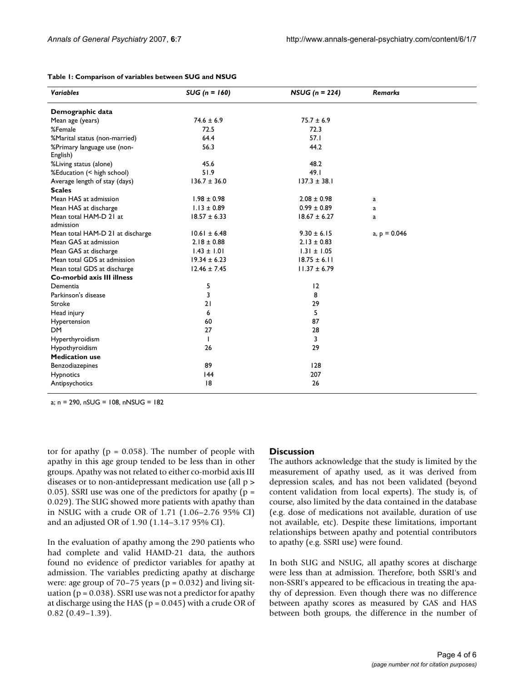| <b>Variables</b>                  | $SUG (n = 160)$  | NSUG $(n = 224)$ | <b>Remarks</b> |
|-----------------------------------|------------------|------------------|----------------|
| Demographic data                  |                  |                  |                |
| Mean age (years)                  | $74.6 \pm 6.9$   | $75.7 \pm 6.9$   |                |
| %Female                           | 72.5             | 72.3             |                |
| %Marital status (non-married)     | 64.4             | 57.1             |                |
| %Primary language use (non-       | 56.3             | 44.2             |                |
| English)                          |                  |                  |                |
| %Living status (alone)            | 45.6             | 48.2             |                |
| %Education (< high school)        | 51.9             | 49.1             |                |
| Average length of stay (days)     | $136.7 \pm 36.0$ | $137.3 \pm 38.1$ |                |
| <b>Scales</b>                     |                  |                  |                |
| Mean HAS at admission             | $1.98 \pm 0.98$  | $2.08 \pm 0.98$  | a              |
| Mean HAS at discharge             | $1.13 \pm 0.89$  | $0.99 \pm 0.89$  | a              |
| Mean total HAM-D 21 at            | $18.57 \pm 6.33$ | $18.67 \pm 6.27$ | a              |
| admission                         |                  |                  |                |
| Mean total HAM-D 21 at discharge  | $10.61 \pm 6.48$ | $9.30 \pm 6.15$  | a, $p = 0.046$ |
| Mean GAS at admission             | $2.18 \pm 0.88$  | $2.13 \pm 0.83$  |                |
| Mean GAS at discharge             | $1.43 \pm 1.01$  | $1.31 \pm 1.05$  |                |
| Mean total GDS at admission       | $19.34 \pm 6.23$ | $18.75 \pm 6.11$ |                |
| Mean total GDS at discharge       | $12.46 \pm 7.45$ | $11.37 \pm 6.79$ |                |
| <b>Co-morbid axis III illness</b> |                  |                  |                |
| Dementia                          | 5                | 12               |                |
| Parkinson's disease               | 3                | 8                |                |
| Stroke                            | 21               | 29               |                |
| Head injury                       | 6                | 5                |                |
| Hypertension                      | 60               | 87               |                |
| DM.                               | 27               | 28               |                |
| Hyperthyroidism                   | $\mathbf{I}$     | 3                |                |
| Hypothyroidism                    | 26               | 29               |                |
| <b>Medication use</b>             |                  |                  |                |
| Benzodiazepines                   | 89               | 128              |                |
| Hypnotics                         | 144              | 207              |                |
| Antipsychotics                    | 18               | 26               |                |

#### **Table 1: Comparison of variables between SUG and NSUG**

a; n = 290, nSUG = 108, nNSUG = 182

tor for apathy ( $p = 0.058$ ). The number of people with apathy in this age group tended to be less than in other groups. Apathy was not related to either co-morbid axis III diseases or to non-antidepressant medication use (all p > 0.05). SSRI use was one of the predictors for apathy ( $p =$ 0.029). The SUG showed more patients with apathy than in NSUG with a crude OR of 1.71 (1.06–2.76 95% CI) and an adjusted OR of 1.90 (1.14–3.17 95% CI).

In the evaluation of apathy among the 290 patients who had complete and valid HAMD-21 data, the authors found no evidence of predictor variables for apathy at admission. The variables predicting apathy at discharge were: age group of  $70-75$  years ( $p = 0.032$ ) and living situation ( $p = 0.038$ ). SSRI use was not a predictor for apathy at discharge using the HAS ( $p = 0.045$ ) with a crude OR of  $0.82$  (0.49–1.39).

#### **Discussion**

The authors acknowledge that the study is limited by the measurement of apathy used, as it was derived from depression scales, and has not been validated (beyond content validation from local experts). The study is, of course, also limited by the data contained in the database (e.g. dose of medications not available, duration of use not available, etc). Despite these limitations, important relationships between apathy and potential contributors to apathy (e.g. SSRI use) were found.

In both SUG and NSUG, all apathy scores at discharge were less than at admission. Therefore, both SSRI's and non-SSRI's appeared to be efficacious in treating the apathy of depression. Even though there was no difference between apathy scores as measured by GAS and HAS between both groups, the difference in the number of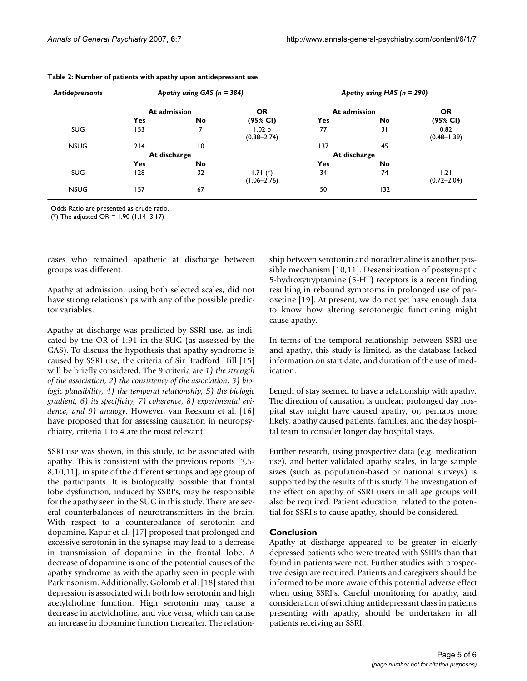| Antidepressants | Apathy using GAS ( $n = 384$ ) |                 |                                      | Apathy using HAS ( $n = 290$ ) |           |                         |
|-----------------|--------------------------------|-----------------|--------------------------------------|--------------------------------|-----------|-------------------------|
|                 | At admission                   |                 | <b>OR</b>                            | At admission                   |           | <b>OR</b>               |
|                 | Yes                            | <b>No</b>       | (95% CI)                             | <b>Yes</b>                     | No        | (95% CI)                |
| <b>SUG</b>      | 153                            | 7               | 1.02 <sub>b</sub><br>$(0.38 - 2.74)$ | 77                             | 31        | 0.82<br>$(0.48 - 1.39)$ |
| <b>NSUG</b>     | 214                            | $\overline{10}$ |                                      | 137                            | 45        |                         |
|                 | At discharge                   |                 |                                      | At discharge                   |           |                         |
|                 | Yes                            | <b>No</b>       |                                      | <b>Yes</b>                     | <b>No</b> |                         |
| <b>SUG</b>      | 128                            | 32              | $1.71$ (*)<br>$(1.06 - 2.76)$        | 34                             | 74        | 1.21<br>$(0.72 - 2.04)$ |
| <b>NSUG</b>     | 157                            | 67              |                                      | 50                             | 132       |                         |

**Table 2: Number of patients with apathy upon antidepressant use**

Odds Ratio are presented as crude ratio.

(\*) The adjusted OR =  $1.90$  (1.14–3.17)

cases who remained apathetic at discharge between groups was different.

Apathy at admission, using both selected scales, did not have strong relationships with any of the possible predictor variables.

Apathy at discharge was predicted by SSRI use, as indicated by the OR of 1.91 in the SUG (as assessed by the GAS). To discuss the hypothesis that apathy syndrome is caused by SSRI use, the criteria of Sir Bradford Hill [15] will be briefly considered. The 9 criteria are *1) the strength of the association, 2) the consistency of the association, 3) biologic plausibility, 4) the temporal relationship, 5) the biologic gradient, 6) its specificity, 7) coherence, 8) experimental evidence, and 9) analogy*. However, van Reekum et al. [16] have proposed that for assessing causation in neuropsychiatry, criteria 1 to 4 are the most relevant.

SSRI use was shown, in this study, to be associated with apathy. This is consistent with the previous reports [3,5- 8,10,11], in spite of the different settings and age group of the participants. It is biologically possible that frontal lobe dysfunction, induced by SSRI's, may be responsible for the apathy seen in the SUG in this study. There are several counterbalances of neurotransmitters in the brain. With respect to a counterbalance of serotonin and dopamine, Kapur et al. [17] proposed that prolonged and excessive serotonin in the synapse may lead to a decrease in transmission of dopamine in the frontal lobe. A decrease of dopamine is one of the potential causes of the apathy syndrome as with the apathy seen in people with Parkinsonism. Additionally, Golomb et al. [18] stated that depression is associated with both low serotonin and high acetylcholine function. High serotonin may cause a decrease in acetylcholine, and vice versa, which can cause an increase in dopamine function thereafter. The relationship between serotonin and noradrenaline is another possible mechanism [10,11]. Desensitization of postsynaptic 5-hydroxytryptamine (5-HT) receptors is a recent finding resulting in rebound symptoms in prolonged use of paroxetine [19]. At present, we do not yet have enough data to know how altering serotonergic functioning might cause apathy.

In terms of the temporal relationship between SSRI use and apathy, this study is limited, as the database lacked information on start date, and duration of the use of medication.

Length of stay seemed to have a relationship with apathy. The direction of causation is unclear; prolonged day hospital stay might have caused apathy, or, perhaps more likely, apathy caused patients, families, and the day hospital team to consider longer day hospital stays.

Further research, using prospective data (e.g. medication use), and better validated apathy scales, in large sample sizes (such as population-based or national surveys) is supported by the results of this study. The investigation of the effect on apathy of SSRI users in all age groups will also be required. Patient education, related to the potential for SSRI's to cause apathy, should be considered.

#### **Conclusion**

Apathy at discharge appeared to be greater in elderly depressed patients who were treated with SSRI's than that found in patients were not. Further studies with prospective design are required. Patients and caregivers should be informed to be more aware of this potential adverse effect when using SSRI's. Careful monitoring for apathy, and consideration of switching antidepressant class in patients presenting with apathy, should be undertaken in all patients receiving an SSRI.